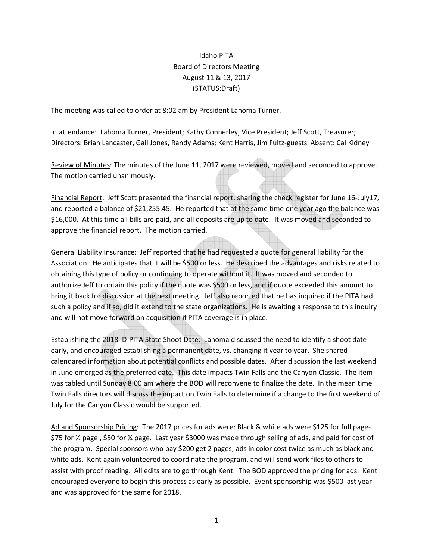## Idaho PITA Board of Directors Meeting August 11 & 13, 2017 (STATUS:Draft)

The meeting was called to order at 8:02 am by President Lahoma Turner.

In attendance: Lahoma Turner, President; Kathy Connerley, Vice President; Jeff Scott, Treasurer; Directors: Brian Lancaster, Gail Jones, Randy Adams; Kent Harris, Jim Fultz-guests Absent: Cal Kidney

Review of Minutes: The minutes of the June 11, 2017 were reviewed, moved and seconded to approve. The motion carried unanimously.

Financial Report: Jeff Scott presented the financial report, sharing the check register for June 16-July17, and reported a balance of \$21,255.45. He reported that at the same time one year ago the balance was \$16,000. At this time all bills are paid, and all deposits are up to date. It was moved and seconded to approve the financial report. The motion carried.

General Liability Insurance: Jeff reported that he had requested a quote for general liability for the Association. He anticipates that it will be \$500 or less. He described the advantages and risks related to obtaining this type of policy or continuing to operate without it. It was moved and seconded to authorize Jeff to obtain this policy if the quote was \$500 or less, and if quote exceeded this amount to bring it back for discussion at the next meeting. Jeff also reported that he has inquired if the PITA had such a policy and if so, did it extend to the state organizations. He is awaiting a response to this inquiry and will not move forward on acquisition if PITA coverage is in place.

Establishing the 2018 ID-PITA State Shoot Date: Lahoma discussed the need to identify a shoot date early, and encouraged establishing a permanent date, vs. changing it year to year. She shared calendared information about potential conflicts and possible dates. After discussion the last weekend in June emerged as the preferred date. This date impacts Twin Falls and the Canyon Classic. The item was tabled until Sunday 8:00 am where the BOD will reconvene to finalize the date. In the mean time Twin Falls directors will discuss the impact on Twin Falls to determine if a change to the first weekend of July for the Canyon Classic would be supported.

Ad and Sponsorship Pricing: The 2017 prices for ads were: Black & white ads were \$125 for full page- \$75 for ½ page , \$50 for ¼ page. Last year \$3000 was made through selling of ads, and paid for cost of the program. Special sponsors who pay \$200 get 2 pages; ads in color cost twice as much as black and white ads. Kent again volunteered to coordinate the program, and will send work files to others to assist with proof reading. All edits are to go through Kent. The BOD approved the pricing for ads. Kent encouraged everyone to begin this process as early as possible. Event sponsorship was \$500 last year and was approved for the same for 2018.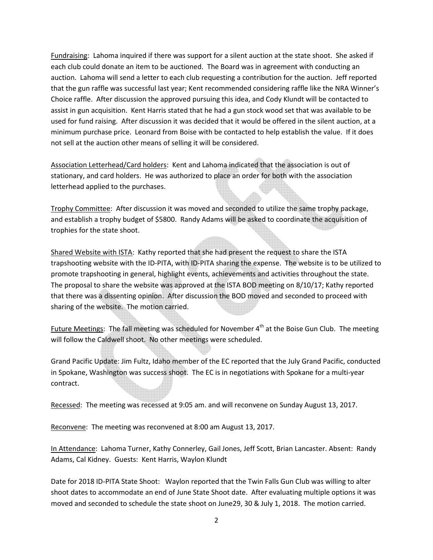Fundraising: Lahoma inquired if there was support for a silent auction at the state shoot. She asked if each club could donate an item to be auctioned. The Board was in agreement with conducting an auction. Lahoma will send a letter to each club requesting a contribution for the auction. Jeff reported that the gun raffle was successful last year; Kent recommended considering raffle like the NRA Winner's Choice raffle. After discussion the approved pursuing this idea, and Cody Klundt will be contacted to assist in gun acquisition. Kent Harris stated that he had a gun stock wood set that was available to be used for fund raising. After discussion it was decided that it would be offered in the silent auction, at a minimum purchase price. Leonard from Boise with be contacted to help establish the value. If it does not sell at the auction other means of selling it will be considered.

Association Letterhead/Card holders: Kent and Lahoma indicated that the association is out of stationary, and card holders. He was authorized to place an order for both with the association letterhead applied to the purchases.

Trophy Committee: After discussion it was moved and seconded to utilize the same trophy package, and establish a trophy budget of \$5800. Randy Adams will be asked to coordinate the acquisition of trophies for the state shoot.

Shared Website with ISTA: Kathy reported that she had present the request to share the ISTA trapshooting website with the ID-PITA, with ID-PITA sharing the expense. The website is to be utilized to promote trapshooting in general, highlight events, achievements and activities throughout the state. The proposal to share the website was approved at the ISTA BOD meeting on 8/10/17; Kathy reported that there was a dissenting opinion. After discussion the BOD moved and seconded to proceed with sharing of the website. The motion carried.

Future Meetings: The fall meeting was scheduled for November  $4<sup>th</sup>$  at the Boise Gun Club. The meeting will follow the Caldwell shoot. No other meetings were scheduled.

Grand Pacific Update: Jim Fultz, Idaho member of the EC reported that the July Grand Pacific, conducted in Spokane, Washington was success shoot. The EC is in negotiations with Spokane for a multi-year contract.

Recessed: The meeting was recessed at 9:05 am. and will reconvene on Sunday August 13, 2017.

Reconvene: The meeting was reconvened at 8:00 am August 13, 2017.

In Attendance: Lahoma Turner, Kathy Connerley, Gail Jones, Jeff Scott, Brian Lancaster. Absent: Randy Adams, Cal Kidney. Guests: Kent Harris, Waylon Klundt

Date for 2018 ID-PITA State Shoot: Waylon reported that the Twin Falls Gun Club was willing to alter shoot dates to accommodate an end of June State Shoot date. After evaluating multiple options it was moved and seconded to schedule the state shoot on June29, 30 & July 1, 2018. The motion carried.